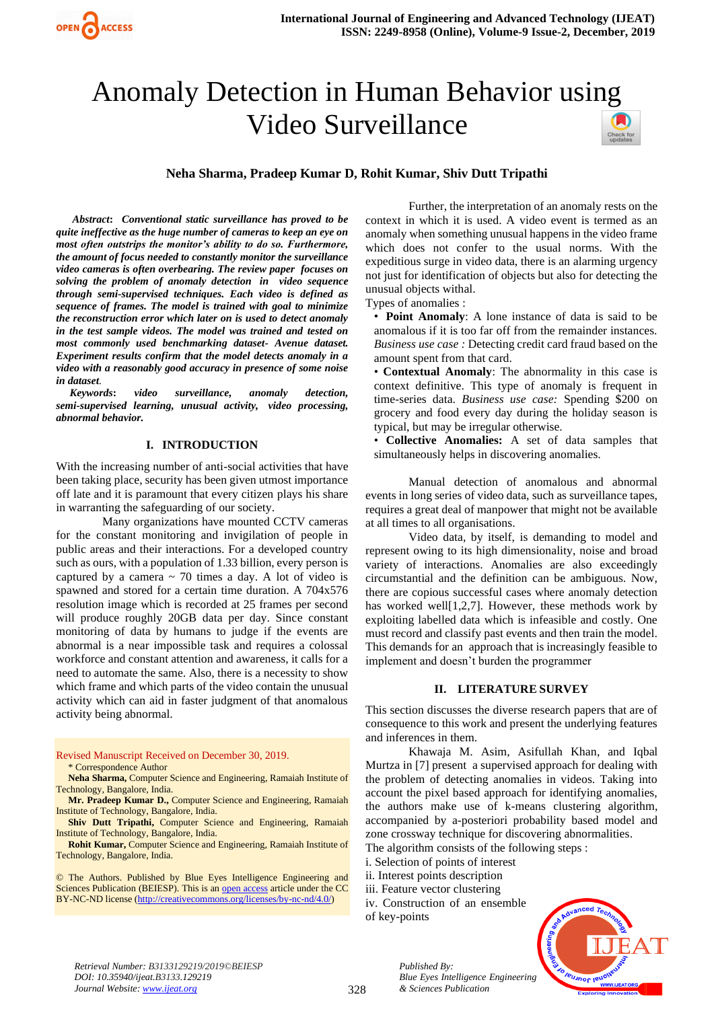# Anomaly Detection in Human Behavior using Video Surveillance



## **Neha Sharma, Pradeep Kumar D, Rohit Kumar, Shiv Dutt Tripathi**

*Abstract***:** *Conventional static surveillance has proved to be quite ineffective as the huge number of cameras to keep an eye on most often outstrips the monitor's ability to do so. Furthermore, the amount of focus needed to constantly monitor the surveillance video cameras is often overbearing. The review paper focuses on solving the problem of anomaly detection in video sequence through semi-supervised techniques. Each video is defined as sequence of frames. The model is trained with goal to minimize the reconstruction error which later on is used to detect anomaly in the test sample videos. The model was trained and tested on most commonly used benchmarking dataset- Avenue dataset. Experiment results confirm that the model detects anomaly in a video with a reasonably good accuracy in presence of some noise in dataset.*

 *Keywords***:** *video surveillance, anomaly detection, semi-supervised learning, unusual activity, video processing, abnormal behavior.*

## **I. INTRODUCTION**

With the increasing number of anti-social activities that have been taking place, security has been given utmost importance off late and it is paramount that every citizen plays his share in warranting the safeguarding of our society.

Many organizations have mounted CCTV cameras for the constant monitoring and invigilation of people in public areas and their interactions. For a developed country such as ours, with a population of 1.33 billion, every person is captured by a camera  $\sim$  70 times a day. A lot of video is spawned and stored for a certain time duration. A 704x576 resolution image which is recorded at 25 frames per second will produce roughly 20GB data per day. Since constant monitoring of data by humans to judge if the events are abnormal is a near impossible task and requires a colossal workforce and constant attention and awareness, it calls for a need to automate the same. Also, there is a necessity to show which frame and which parts of the video contain the unusual activity which can aid in faster judgment of that anomalous activity being abnormal.

Revised Manuscript Received on December 30, 2019. \* Correspondence Author

**Neha Sharma,** Computer Science and Engineering, Ramaiah Institute of Technology, Bangalore, India.

**Mr. Pradeep Kumar D.,** Computer Science and Engineering, Ramaiah Institute of Technology, Bangalore, India.

**Shiv Dutt Tripathi,** Computer Science and Engineering, Ramaiah Institute of Technology, Bangalore, India.

**Rohit Kumar,** Computer Science and Engineering, Ramaiah Institute of Technology, Bangalore, India.

© The Authors. Published by Blue Eyes Intelligence Engineering and Sciences Publication (BEIESP). This is a[n open access](https://www.openaccess.nl/en/open-publications) article under the CC BY-NC-ND license [\(http://creativecommons.org/licenses/by-nc-nd/4.0/\)](http://creativecommons.org/licenses/by-nc-nd/4.0/)

Further, the interpretation of an anomaly rests on the context in which it is used. A video event is termed as an anomaly when something unusual happens in the video frame which does not confer to the usual norms. With the expeditious surge in video data, there is an alarming urgency not just for identification of objects but also for detecting the unusual objects withal.

Types of anomalies :

• **Point Anomaly**: A lone instance of data is said to be anomalous if it is too far off from the remainder instances. *Business use case :* Detecting credit card fraud based on the amount spent from that card.

• **Contextual Anomaly**: The abnormality in this case is context definitive. This type of anomaly is frequent in time-series data. *Business use case:* Spending \$200 on grocery and food every day during the holiday season is typical, but may be irregular otherwise.

• **Collective Anomalies:** A set of data samples that simultaneously helps in discovering anomalies.

Manual detection of anomalous and abnormal events in long series of video data, such as surveillance tapes, requires a great deal of manpower that might not be available at all times to all organisations.

Video data, by itself, is demanding to model and represent owing to its high dimensionality, noise and broad variety of interactions. Anomalies are also exceedingly circumstantial and the definition can be ambiguous. Now, there are copious successful cases where anomaly detection has worked well[1,2,7]. However, these methods work by exploiting labelled data which is infeasible and costly. One must record and classify past events and then train the model. This demands for an approach that is increasingly feasible to implement and doesn't burden the programmer

## **II. LITERATURE SURVEY**

This section discusses the diverse research papers that are of consequence to this work and present the underlying features and inferences in them.

Khawaja M. Asim, Asifullah Khan, and Iqbal Murtza in [7] present a supervised approach for dealing with the problem of detecting anomalies in videos. Taking into account the pixel based approach for identifying anomalies, the authors make use of k-means clustering algorithm, accompanied by a-posteriori probability based model and zone crossway technique for discovering abnormalities.

The algorithm consists of the following steps :

- i. Selection of points of interest
- ii. Interest points description
- iii. Feature vector clustering

*Published By:*

iv. Construction of an ensemble of key-points

*& Sciences Publication* 



*Retrieval Number: B3133129219/2019©BEIESP DOI: 10.35940/ijeat.B3133.129219 Journal Website[: www.ijeat.org](http://www.ijeat.org/)*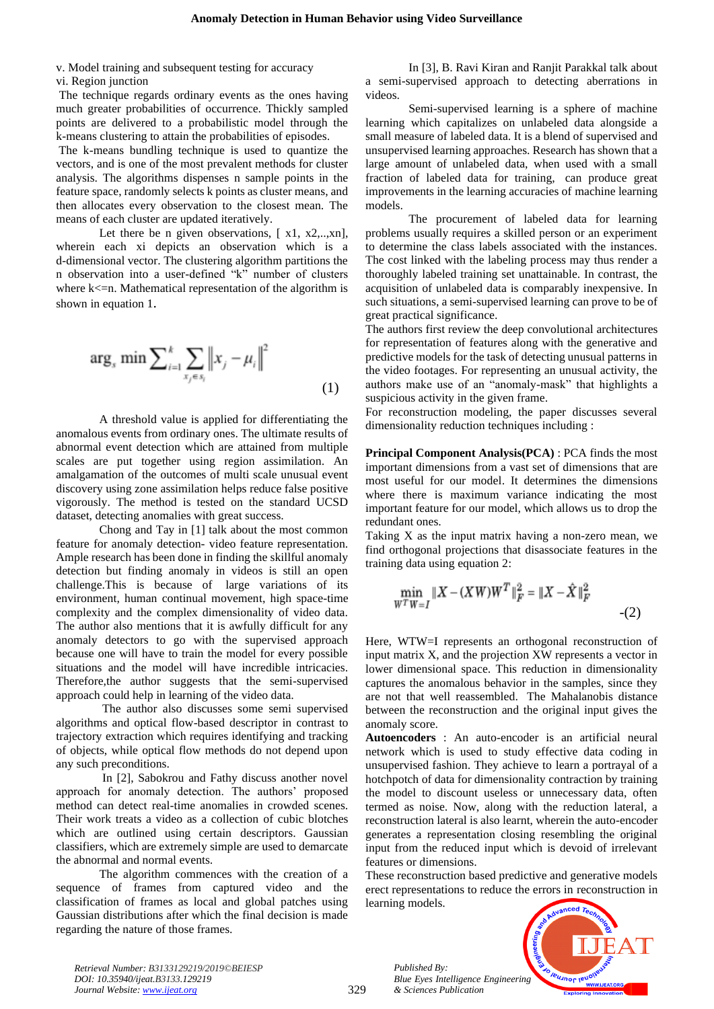v. Model training and subsequent testing for accuracy vi. Region junction

The technique regards ordinary events as the ones having much greater probabilities of occurrence. Thickly sampled points are delivered to a probabilistic model through the k-means clustering to attain the probabilities of episodes.

The k-means bundling technique is used to quantize the vectors, and is one of the most prevalent methods for cluster analysis. The algorithms dispenses n sample points in the feature space, randomly selects k points as cluster means, and then allocates every observation to the closest mean. The means of each cluster are updated iteratively.

Let there be n given observations,  $[x1, x2, \ldots, xn]$ , wherein each xi depicts an observation which is a d-dimensional vector. The clustering algorithm partitions the n observation into a user-defined "k" number of clusters where  $k\leq n$ . Mathematical representation of the algorithm is shown in equation 1.

$$
\arg_{s} \min \sum_{i=1}^{k} \sum_{x_{j} \in s_{i}} ||x_{j} - \mu_{i}||^{2}
$$
\n(1)

A threshold value is applied for differentiating the anomalous events from ordinary ones. The ultimate results of abnormal event detection which are attained from multiple scales are put together using region assimilation. An amalgamation of the outcomes of multi scale unusual event discovery using zone assimilation helps reduce false positive vigorously. The method is tested on the standard UCSD dataset, detecting anomalies with great success.

Chong and Tay in [1] talk about the most common feature for anomaly detection- video feature representation. Ample research has been done in finding the skillful anomaly detection but finding anomaly in videos is still an open challenge.This is because of large variations of its environment, human continual movement, high space-time complexity and the complex dimensionality of video data. The author also mentions that it is awfully difficult for any anomaly detectors to go with the supervised approach because one will have to train the model for every possible situations and the model will have incredible intricacies. Therefore,the author suggests that the semi-supervised approach could help in learning of the video data.

The author also discusses some semi supervised algorithms and optical flow-based descriptor in contrast to trajectory extraction which requires identifying and tracking of objects, while optical flow methods do not depend upon any such preconditions.

In [2], Sabokrou and Fathy discuss another novel approach for anomaly detection. The authors' proposed method can detect real-time anomalies in crowded scenes. Their work treats a video as a collection of cubic blotches which are outlined using certain descriptors. Gaussian classifiers, which are extremely simple are used to demarcate the abnormal and normal events.

The algorithm commences with the creation of a sequence of frames from captured video and the classification of frames as local and global patches using Gaussian distributions after which the final decision is made regarding the nature of those frames.

In [3], B. Ravi Kiran and Ranjit Parakkal talk about a semi-supervised approach to detecting aberrations in videos.

Semi-supervised learning is a sphere of machine learning which capitalizes on unlabeled data alongside a small measure of labeled data. It is a blend of supervised and unsupervised learning approaches. Research has shown that a large amount of unlabeled data, when used with a small fraction of labeled data for training, can produce great improvements in the learning accuracies of machine learning models.

The procurement of labeled data for learning problems usually requires a skilled person or an experiment to determine the class labels associated with the instances. The cost linked with the labeling process may thus render a thoroughly labeled training set unattainable. In contrast, the acquisition of unlabeled data is comparably inexpensive. In such situations, a semi-supervised learning can prove to be of great practical significance.

The authors first review the deep convolutional architectures for representation of features along with the generative and predictive models for the task of detecting unusual patterns in the video footages. For representing an unusual activity, the authors make use of an "anomaly-mask" that highlights a suspicious activity in the given frame.

For reconstruction modeling, the paper discusses several dimensionality reduction techniques including :

**Principal Component Analysis(PCA)** : PCA finds the most important dimensions from a vast set of dimensions that are most useful for our model. It determines the dimensions where there is maximum variance indicating the most important feature for our model, which allows us to drop the redundant ones.

Taking X as the input matrix having a non-zero mean, we find orthogonal projections that disassociate features in the training data using equation 2:

$$
\min_{W^T W = I} \|X - (XW)W^T\|_F^2 = \|X - \hat{X}\|_F^2
$$
\n<sup>(2)</sup>

Here, WTW=I represents an orthogonal reconstruction of input matrix X, and the projection XW represents a vector in lower dimensional space. This reduction in dimensionality captures the anomalous behavior in the samples, since they are not that well reassembled. The Mahalanobis distance between the reconstruction and the original input gives the anomaly score.

**Autoencoders** : An auto-encoder is an artificial neural network which is used to study effective data coding in unsupervised fashion. They achieve to learn a portrayal of a hotchpotch of data for dimensionality contraction by training the model to discount useless or unnecessary data, often termed as noise. Now, along with the reduction lateral, a reconstruction lateral is also learnt, wherein the auto-encoder generates a representation closing resembling the original input from the reduced input which is devoid of irrelevant features or dimensions.

These reconstruction based predictive and generative models erect representations to reduce the errors in reconstruction in learning models.



*Retrieval Number: B3133129219/2019©BEIESP DOI: 10.35940/ijeat.B3133.129219 Journal Website[: www.ijeat.org](http://www.ijeat.org/)*

*Published By:*

*& Sciences Publication*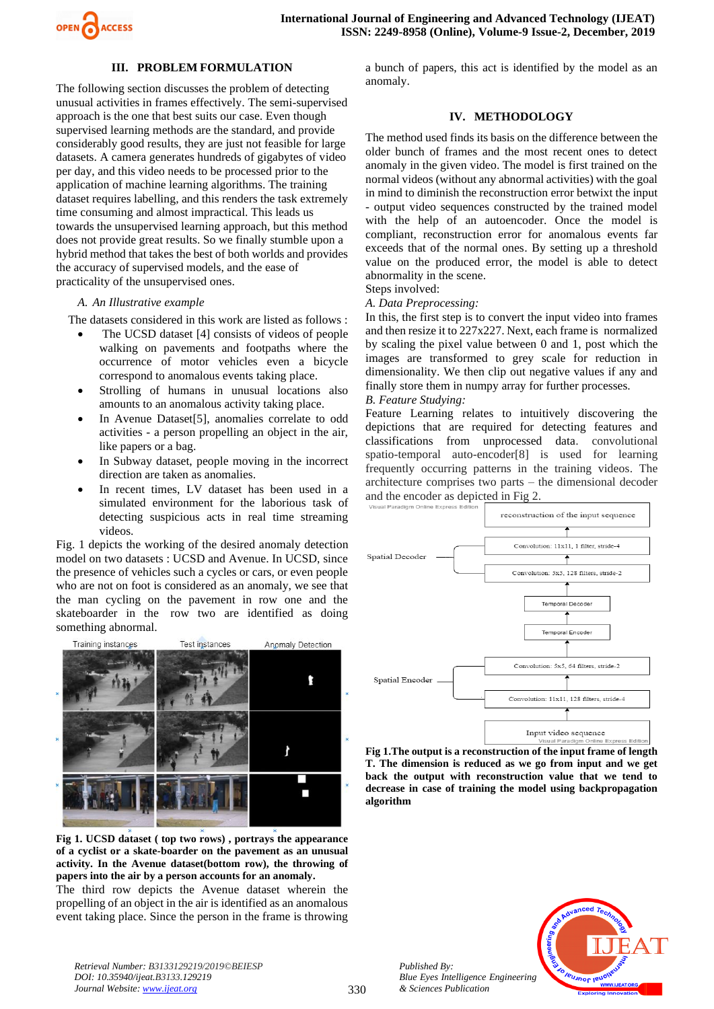

## **III. PROBLEM FORMULATION**

The following section discusses the problem of detecting unusual activities in frames effectively. The semi-supervised approach is the one that best suits our case. Even though supervised learning methods are the standard, and provide considerably good results, they are just not feasible for large datasets. A camera generates hundreds of gigabytes of video per day, and this video needs to be processed prior to the application of machine learning algorithms. The training dataset requires labelling, and this renders the task extremely time consuming and almost impractical. This leads us towards the unsupervised learning approach, but this method does not provide great results. So we finally stumble upon a hybrid method that takes the best of both worlds and provides the accuracy of supervised models, and the ease of practicality of the unsupervised ones.

#### *A. An Illustrative example*

The datasets considered in this work are listed as follows :

- The UCSD dataset [4] consists of videos of people walking on pavements and footpaths where the occurrence of motor vehicles even a bicycle correspond to anomalous events taking place.
- Strolling of humans in unusual locations also amounts to an anomalous activity taking place.
- In Avenue Dataset<sup>[5]</sup>, anomalies correlate to odd activities - a person propelling an object in the air, like papers or a bag.
- In Subway dataset, people moving in the incorrect direction are taken as anomalies.
- In recent times, LV dataset has been used in a simulated environment for the laborious task of detecting suspicious acts in real time streaming videos.

Fig. 1 depicts the working of the desired anomaly detection model on two datasets : UCSD and Avenue. In UCSD, since the presence of vehicles such a cycles or cars, or even people who are not on foot is considered as an anomaly, we see that the man cycling on the pavement in row one and the skateboarder in the row two are identified as doing something abnormal.



**Fig 1. UCSD dataset ( top two rows) , portrays the appearance of a cyclist or a skate-boarder on the pavement as an unusual activity. In the Avenue dataset(bottom row), the throwing of papers into the air by a person accounts for an anomaly.**

The third row depicts the Avenue dataset wherein the propelling of an object in the air is identified as an anomalous event taking place. Since the person in the frame is throwing

a bunch of papers, this act is identified by the model as an anomaly.

#### **IV. METHODOLOGY**

The method used finds its basis on the difference between the older bunch of frames and the most recent ones to detect anomaly in the given video. The model is first trained on the normal videos (without any abnormal activities) with the goal in mind to diminish the reconstruction error betwixt the input - output video sequences constructed by the trained model with the help of an autoencoder. Once the model is compliant, reconstruction error for anomalous events far exceeds that of the normal ones. By setting up a threshold value on the produced error, the model is able to detect abnormality in the scene.

## Steps involved:

*A. Data Preprocessing:*

In this, the first step is to convert the input video into frames and then resize it to 227x227. Next, each frame is normalized by scaling the pixel value between 0 and 1, post which the images are transformed to grey scale for reduction in dimensionality. We then clip out negative values if any and finally store them in numpy array for further processes.

## *B. Feature Studying:*

Feature Learning relates to intuitively discovering the depictions that are required for detecting features and classifications from unprocessed data. convolutional spatio-temporal auto-encoder[8] is used for learning frequently occurring patterns in the training videos. The architecture comprises two parts – the dimensional decoder and the encoder as depicted in Fig 2.



**Fig 1.The output is a reconstruction of the input frame of length T. The dimension is reduced as we go from input and we get back the output with reconstruction value that we tend to decrease in case of training the model using backpropagation algorithm**

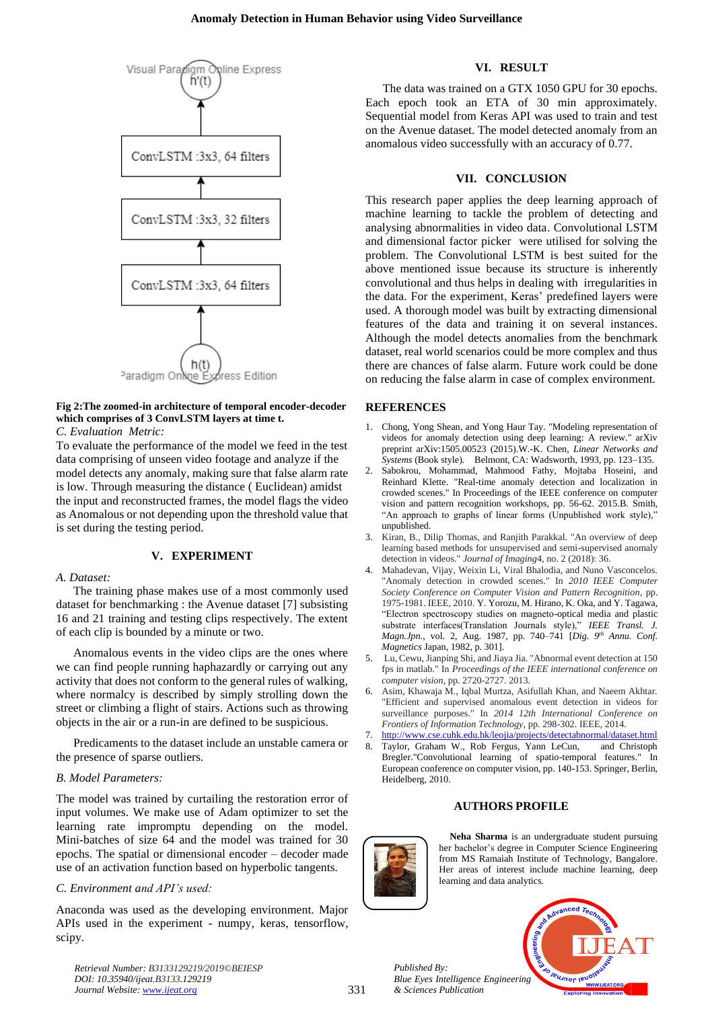

## **Fig 2:The zoomed-in architecture of temporal encoder-decoder which comprises of 3 ConvLSTM layers at time t.**

*C. Evaluation Metric:*

To evaluate the performance of the model we feed in the test data comprising of unseen video footage and analyze if the model detects any anomaly, making sure that false alarm rate is low. Through measuring the distance ( Euclidean) amidst the input and reconstructed frames, the model flags the video as Anomalous or not depending upon the threshold value that is set during the testing period.

## **V. EXPERIMENT**

## *A. Dataset:*

The training phase makes use of a most commonly used dataset for benchmarking : the Avenue dataset [7] subsisting 16 and 21 training and testing clips respectively. The extent of each clip is bounded by a minute or two.

Anomalous events in the video clips are the ones where we can find people running haphazardly or carrying out any activity that does not conform to the general rules of walking, where normalcy is described by simply strolling down the street or climbing a flight of stairs. Actions such as throwing objects in the air or a run-in are defined to be suspicious.

Predicaments to the dataset include an unstable camera or the presence of sparse outliers.

## *B. Model Parameters:*

The model was trained by curtailing the restoration error of input volumes. We make use of Adam optimizer to set the learning rate impromptu depending on the model. Mini-batches of size 64 and the model was trained for 30 epochs. The spatial or dimensional encoder – decoder made use of an activation function based on hyperbolic tangents.

## *C. Environment and API's used:*

Anaconda was used as the developing environment. Major APIs used in the experiment - numpy, keras, tensorflow, scipy.

The data was trained on a GTX 1050 GPU for 30 epochs. Each epoch took an ETA of 30 min approximately. Sequential model from Keras API was used to train and test on the Avenue dataset. The model detected anomaly from an anomalous video successfully with an accuracy of 0.77.

**VI. RESULT**

## **VII. CONCLUSION**

This research paper applies the deep learning approach of machine learning to tackle the problem of detecting and analysing abnormalities in video data. Convolutional LSTM and dimensional factor picker were utilised for solving the problem. The Convolutional LSTM is best suited for the above mentioned issue because its structure is inherently convolutional and thus helps in dealing with irregularities in the data. For the experiment, Keras' predefined layers were used. A thorough model was built by extracting dimensional features of the data and training it on several instances. Although the model detects anomalies from the benchmark dataset, real world scenarios could be more complex and thus there are chances of false alarm. Future work could be done on reducing the false alarm in case of complex environment.

## **REFERENCES**

- 1. Chong, Yong Shean, and Yong Haur Tay. "Modeling representation of videos for anomaly detection using deep learning: A review." arXiv preprint arXiv:1505.00523 (2015).W.-K. Chen, *Linear Networks and Systems* (Book style)*.* Belmont, CA: Wadsworth, 1993, pp. 123–135.
- 2. Sabokrou, Mohammad, Mahmood Fathy, Mojtaba Hoseini, and Reinhard Klette. "Real-time anomaly detection and localization in crowded scenes." In Proceedings of the IEEE conference on computer vision and pattern recognition workshops, pp. 56-62. 2015.B. Smith, "An approach to graphs of linear forms (Unpublished work style)," unpublished.
- 3. Kiran, B., Dilip Thomas, and Ranjith Parakkal. "An overview of deep learning based methods for unsupervised and semi-supervised anomaly detection in videos." *Journal of Imaging*4, no. 2 (2018): 36.
- 4. Mahadevan, Vijay, Weixin Li, Viral Bhalodia, and Nuno Vasconcelos. "Anomaly detection in crowded scenes." In *2010 IEEE Computer Society Conference on Computer Vision and Pattern Recognition*, pp. 1975-1981. IEEE, 2010. Y. Yorozu, M. Hirano, K. Oka, and Y. Tagawa, "Electron spectroscopy studies on magneto-optical media and plastic substrate interfaces(Translation Journals style)," IEEE Transl. J. *Magn.Jpn.*, vol. 2, Aug. 1987, pp. 740–741 [*Dig. 9th Annu. Conf. Magnetics* Japan, 1982, p. 301].
- 5. Lu, Cewu, Jianping Shi, and Jiaya Jia. "Abnormal event detection at 150 fps in matlab." In *Proceedings of the IEEE international conference on computer vision*, pp. 2720-2727. 2013.
- 6. Asim, Khawaja M., Iqbal Murtza, Asifullah Khan, and Naeem Akhtar. "Efficient and supervised anomalous event detection in videos for surveillance purposes." In *2014 12th International Conference on Frontiers of Information Technology*, pp. 298-302. IEEE, 2014.

7. <http://www.cse.cuhk.edu.hk/leojia/projects/detectabnormal/dataset.html>

8. Taylor, Graham W., Rob Fergus, Yann LeCun, and Christoph Bregler."Convolutional learning of spatio-temporal features." In European conference on computer vision, pp. 140-153. Springer, Berlin, Heidelberg, 2010.

## **AUTHORS PROFILE**



**Neha Sharma** is an undergraduate student pursuing her bachelor's degree in Computer Science Engineering from MS Ramaiah Institute of Technology, Bangalore. Her areas of interest include machine learning, deep learning and data analytics.

*Published By: Blue Eyes Intelligence Engineering & Sciences Publication* 



*Retrieval Number: B3133129219/2019©BEIESP DOI: 10.35940/ijeat.B3133.129219 Journal Website[: www.ijeat.org](http://www.ijeat.org/)*